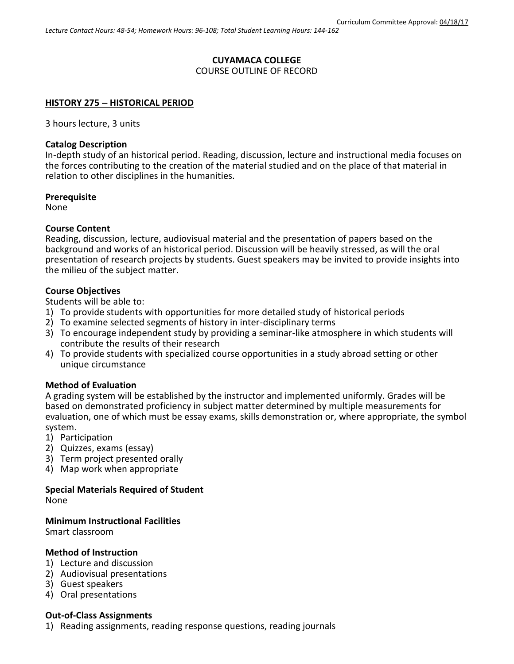## **CUYAMACA COLLEGE**

COURSE OUTLINE OF RECORD

### **HISTORY 275 HISTORICAL PERIOD**

3 hours lecture, 3 units

### **Catalog Description**

In-depth study of an historical period. Reading, discussion, lecture and instructional media focuses on the forces contributing to the creation of the material studied and on the place of that material in relation to other disciplines in the humanities.

### **Prerequisite**

None

### **Course Content**

Reading, discussion, lecture, audiovisual material and the presentation of papers based on the background and works of an historical period. Discussion will be heavily stressed, as will the oral presentation of research projects by students. Guest speakers may be invited to provide insights into the milieu of the subject matter.

### **Course Objectives**

Students will be able to:

- 1) To provide students with opportunities for more detailed study of historical periods
- 2) To examine selected segments of history in inter-disciplinary terms
- 3) To encourage independent study by providing a seminar-like atmosphere in which students will contribute the results of their research
- 4) To provide students with specialized course opportunities in a study abroad setting or other unique circumstance

## **Method of Evaluation**

A grading system will be established by the instructor and implemented uniformly. Grades will be based on demonstrated proficiency in subject matter determined by multiple measurements for evaluation, one of which must be essay exams, skills demonstration or, where appropriate, the symbol system.

- 1) Participation
- 2) Quizzes, exams (essay)
- 3) Term project presented orally
- 4) Map work when appropriate

# **Special Materials Required of Student**

None

### **Minimum Instructional Facilities**

Smart classroom

### **Method of Instruction**

- 1) Lecture and discussion
- 2) Audiovisual presentations
- 3) Guest speakers
- 4) Oral presentations

### **Out-of-Class Assignments**

1) Reading assignments, reading response questions, reading journals